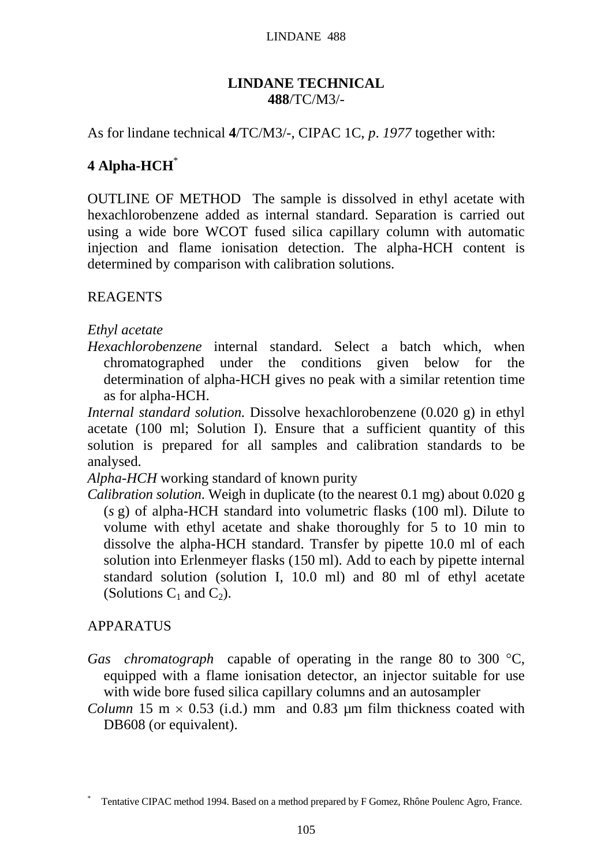#### LINDANE 488

## **LINDANE TECHNICAL 488**/TC/M3/-

As for lindane technical **4**/TC/M3/-, CIPAC 1C, *p*. *1977* together with:

# **4 Alpha-HCH**\*

OUTLINE OF METHOD The sample is dissolved in ethyl acetate with hexachlorobenzene added as internal standard. Separation is carried out using a wide bore WCOT fused silica capillary column with automatic injection and flame ionisation detection. The alpha-HCH content is determined by comparison with calibration solutions.

REAGENTS

## *Ethyl acetate*

*Hexachlorobenzene* internal standard. Select a batch which, when chromatographed under the conditions given below for the determination of alpha-HCH gives no peak with a similar retention time as for alpha-HCH.

*Internal standard solution.* Dissolve hexachlorobenzene (0.020 g) in ethyl acetate (100 ml; Solution I). Ensure that a sufficient quantity of this solution is prepared for all samples and calibration standards to be analysed.

*Alpha-HCH* working standard of known purity

*Calibration solution*. Weigh in duplicate (to the nearest 0.1 mg) about 0.020 g (*s* g) of alpha-HCH standard into volumetric flasks (100 ml). Dilute to volume with ethyl acetate and shake thoroughly for 5 to 10 min to dissolve the alpha-HCH standard. Transfer by pipette 10.0 ml of each solution into Erlenmeyer flasks (150 ml). Add to each by pipette internal standard solution (solution I, 10.0 ml) and 80 ml of ethyl acetate (Solutions  $C_1$  and  $C_2$ ).

## APPARATUS

- *Gas chromatograph* capable of operating in the range 80 to 300 °C, equipped with a flame ionisation detector, an injector suitable for use with wide bore fused silica capillary columns and an autosampler
- *Column* 15 m  $\times$  0.53 (i.d.) mm and 0.83 µm film thickness coated with DB608 (or equivalent).

<sup>\*</sup> Tentative CIPAC method 1994. Based on a method prepared by F Gomez, Rhône Poulenc Agro, France.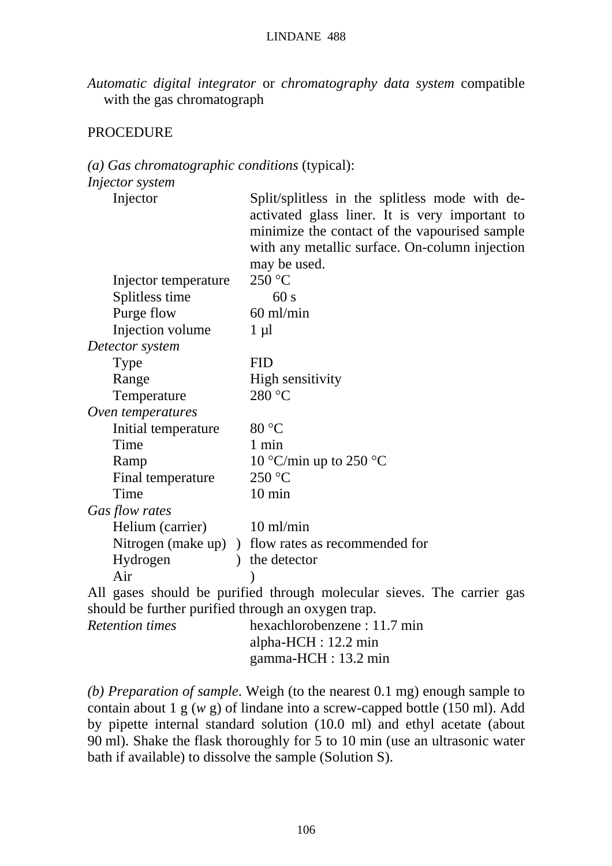#### LINDANE 488

*Automatic digital integrator* or *chromatography data system* compatible with the gas chromatograph

### PROCEDURE

## *(a) Gas chromatographic conditions* (typical):

| Injector                                          | Split/splitless in the splitless mode with de-<br>activated glass liner. It is very important to<br>minimize the contact of the vapourised sample<br>with any metallic surface. On-column injection<br>may be used. |
|---------------------------------------------------|---------------------------------------------------------------------------------------------------------------------------------------------------------------------------------------------------------------------|
| Injector temperature                              | 250 °C                                                                                                                                                                                                              |
| Splitless time                                    | 60 s                                                                                                                                                                                                                |
| Purge flow                                        | $60$ ml/min                                                                                                                                                                                                         |
| Injection volume                                  | $1 \mu l$                                                                                                                                                                                                           |
| Detector system                                   |                                                                                                                                                                                                                     |
| Type                                              | <b>FID</b>                                                                                                                                                                                                          |
| Range                                             | High sensitivity                                                                                                                                                                                                    |
| Temperature                                       | 280 °C                                                                                                                                                                                                              |
| Oven temperatures                                 |                                                                                                                                                                                                                     |
| Initial temperature                               | 80 °C                                                                                                                                                                                                               |
| Time                                              | $1 \text{ min}$                                                                                                                                                                                                     |
| Ramp                                              | 10 °C/min up to 250 °C                                                                                                                                                                                              |
| Final temperature                                 | 250 °C                                                                                                                                                                                                              |
| Time                                              | $10 \text{ min}$                                                                                                                                                                                                    |
| Gas flow rates                                    |                                                                                                                                                                                                                     |
| Helium (carrier)                                  | $10 \text{ ml/min}$                                                                                                                                                                                                 |
|                                                   | Nitrogen (make up) ) flow rates as recommended for                                                                                                                                                                  |
| Hydrogen                                          | ) the detector                                                                                                                                                                                                      |
| Air                                               |                                                                                                                                                                                                                     |
|                                                   | All gases should be purified through molecular sieves. The carrier gas                                                                                                                                              |
| should be further purified through an exigen tren |                                                                                                                                                                                                                     |

|                        | should be further purified through an oxygen trap. |
|------------------------|----------------------------------------------------|
| <i>Retention times</i> | hexachlorobenzene : 11.7 min                       |
|                        | alpha- $HCH: 12.2$ min                             |
|                        | gamma-HCH : $13.2 \text{ min}$                     |

*(b) Preparation of sample*. Weigh (to the nearest 0.1 mg) enough sample to contain about 1 g (*w* g) of lindane into a screw-capped bottle (150 ml). Add by pipette internal standard solution (10.0 ml) and ethyl acetate (about 90 ml). Shake the flask thoroughly for 5 to 10 min (use an ultrasonic water bath if available) to dissolve the sample (Solution S).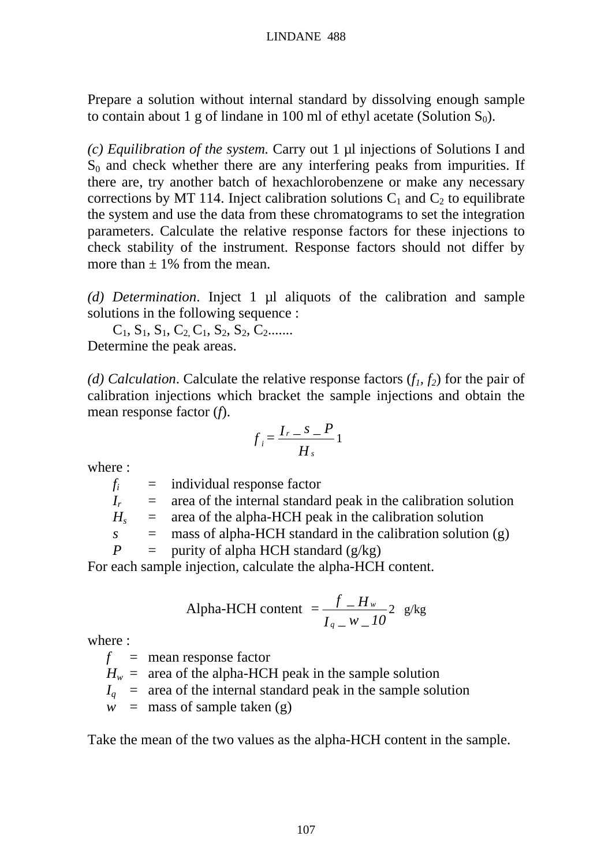Prepare a solution without internal standard by dissolving enough sample to contain about 1 g of lindane in 100 ml of ethyl acetate (Solution  $S_0$ ).

*(c) Equilibration of the system.* Carry out 1 µl injections of Solutions I and  $S<sub>0</sub>$  and check whether there are any interfering peaks from impurities. If there are, try another batch of hexachlorobenzene or make any necessary corrections by MT 114. Inject calibration solutions  $C_1$  and  $C_2$  to equilibrate the system and use the data from these chromatograms to set the integration parameters. Calculate the relative response factors for these injections to check stability of the instrument. Response factors should not differ by more than  $\pm$  1% from the mean.

*(d) Determination*. Inject 1 µl aliquots of the calibration and sample solutions in the following sequence :

 $C_1, S_1, S_1, C_2, C_1, S_2, S_2, C_2$ ....... Determine the peak areas.

*(d) Calculation.* Calculate the relative response factors  $(f_1, f_2)$  for the pair of calibration injections which bracket the sample injections and obtain the mean response factor (*f*).

$$
f_i = \frac{I_r - S - P}{H_s}1
$$

where :

 $f_i$  = individual response factor  $I_r$  = area of the internal standard peak in the calibration solution  $H_s$  = area of the alpha-HCH peak in the calibration solution  $s =$  mass of alpha-HCH standard in the calibration solution  $(g)$ *P* = purity of alpha HCH standard  $(g/kg)$ 

For each sample injection, calculate the alpha-HCH content.

Alpha-HCH content 
$$
=\frac{f - H_w}{I_q - W - I0} 2
$$
 g/kg

where :

 $f =$  mean response factor

 $H_w$  = area of the alpha-HCH peak in the sample solution

 $I_q$  = area of the internal standard peak in the sample solution

 $w =$  mass of sample taken (g)

Take the mean of the two values as the alpha-HCH content in the sample.